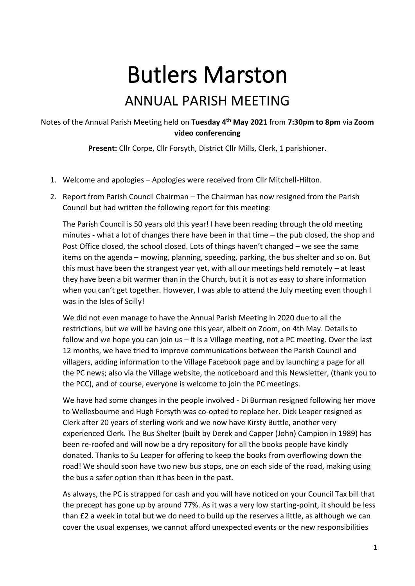## Butlers Marston

## ANNUAL PARISH MEETING

## Notes of the Annual Parish Meeting held on **Tuesday 4 th May 2021** from **7:30pm to 8pm** via **Zoom video conferencing**

**Present:** Cllr Corpe, Cllr Forsyth, District Cllr Mills, Clerk, 1 parishioner.

- 1. Welcome and apologies Apologies were received from Cllr Mitchell-Hilton.
- 2. Report from Parish Council Chairman The Chairman has now resigned from the Parish Council but had written the following report for this meeting:

The Parish Council is 50 years old this year! I have been reading through the old meeting minutes - what a lot of changes there have been in that time – the pub closed, the shop and Post Office closed, the school closed. Lots of things haven't changed – we see the same items on the agenda – mowing, planning, speeding, parking, the bus shelter and so on. But this must have been the strangest year yet, with all our meetings held remotely – at least they have been a bit warmer than in the Church, but it is not as easy to share information when you can't get together. However, I was able to attend the July meeting even though I was in the Isles of Scilly!

We did not even manage to have the Annual Parish Meeting in 2020 due to all the restrictions, but we will be having one this year, albeit on Zoom, on 4th May. Details to follow and we hope you can join us – it is a Village meeting, not a PC meeting. Over the last 12 months, we have tried to improve communications between the Parish Council and villagers, adding information to the Village Facebook page and by launching a page for all the PC news; also via the Village website, the noticeboard and this Newsletter, (thank you to the PCC), and of course, everyone is welcome to join the PC meetings.

We have had some changes in the people involved - Di Burman resigned following her move to Wellesbourne and Hugh Forsyth was co-opted to replace her. Dick Leaper resigned as Clerk after 20 years of sterling work and we now have Kirsty Buttle, another very experienced Clerk. The Bus Shelter (built by Derek and Capper (John) Campion in 1989) has been re-roofed and will now be a dry repository for all the books people have kindly donated. Thanks to Su Leaper for offering to keep the books from overflowing down the road! We should soon have two new bus stops, one on each side of the road, making using the bus a safer option than it has been in the past.

As always, the PC is strapped for cash and you will have noticed on your Council Tax bill that the precept has gone up by around 77%. As it was a very low starting-point, it should be less than £2 a week in total but we do need to build up the reserves a little, as although we can cover the usual expenses, we cannot afford unexpected events or the new responsibilities